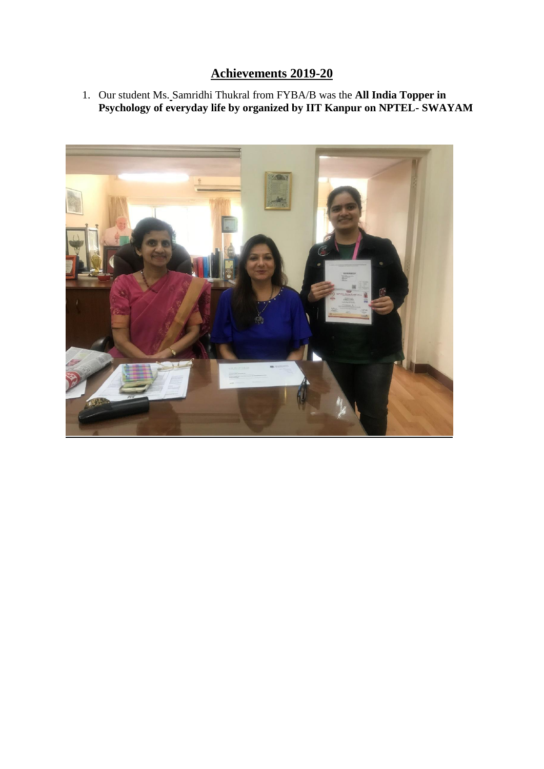## **Achievements 2019-20**

1. Our student Ms. Samridhi Thukral from FYBA/B was the **All India Topper in Psychology of everyday life by organized by IIT Kanpur on NPTEL- SWAYAM**

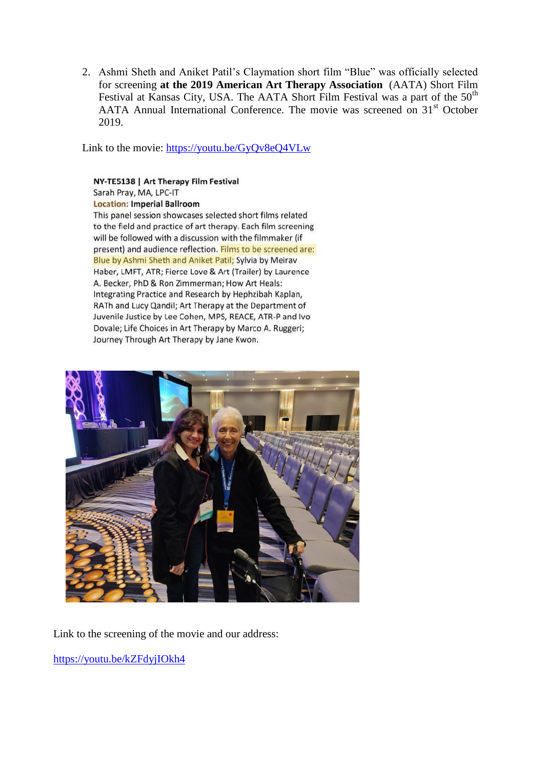2. Ashmi Sheth and Aniket Patil's Claymation short film "Blue" was officially selected for screening **at the 2019 American Art Therapy Association** (AATA) Short Film Festival at Kansas City, USA. The AATA Short Film Festival was a part of the  $50<sup>th</sup>$ AATA Annual International Conference. The movie was screened on 31<sup>st</sup> October 2019.

Link to the movie:<https://youtu.be/GyQv8eQ4VLw>

## NY-TE5138 | Art Therapy Film Festival

## Sarah Pray, MA, LPC-IT **Location: Imperial Ballroom**

This panel session showcases selected short films related to the field and practice of art therapy. Each film screening will be followed with a discussion with the filmmaker (if present) and audience reflection. Films to be screened are: Blue by Ashmi Sheth and Aniket Patil; Sylvia by Meirav Haber, LMFT, ATR; Fierce Love & Art (Trailer) by Laurence A. Becker, PhD & Ron Zimmerman; How Art Heals: Integrating Practice and Research by Hephzibah Kaplan, RATh and Lucy Qandil; Art Therapy at the Department of Juvenile Justice by Lee Cohen, MPS, REACE, ATR-P and Ivo Dovale; Life Choices in Art Therapy by Marco A. Ruggeri; Journey Through Art Therapy by Jane Kwon.



Link to the screening of the movie and our address:

<https://youtu.be/kZFdyjIOkh4>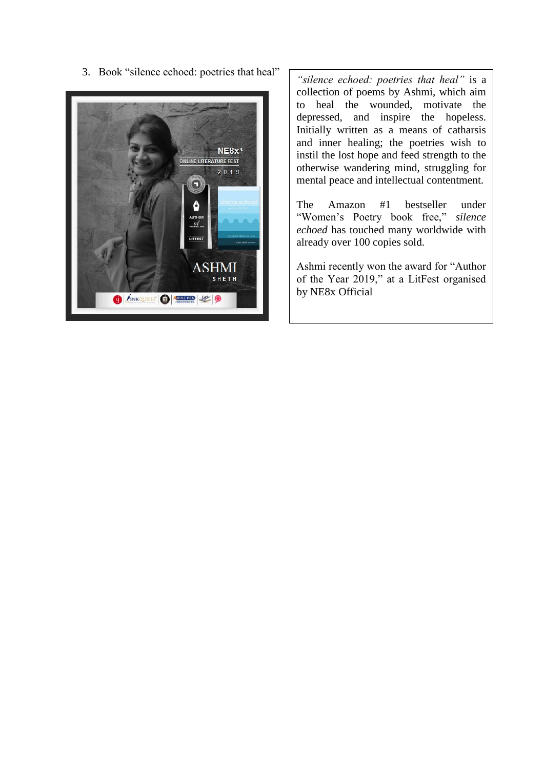

3. Book "silence echoed: poetries that heal" *"silence echoed: poetries that heal"* is a collection of poems by Ashmi, which aim to heal the wounded, motivate the depressed, and inspire the hopeless. Initially written as a means of catharsis and inner healing; the poetries wish to instil the lost hope and feed strength to the otherwise wandering mind, struggling for mental peace and intellectual contentment.

> The Amazon #1 bestseller under "Women's Poetry book free," *silence echoed* has touched many worldwide with already over 100 copies sold.

> Ashmi recently won the award for "Author of the Year 2019," at a LitFest organised by NE8x Official